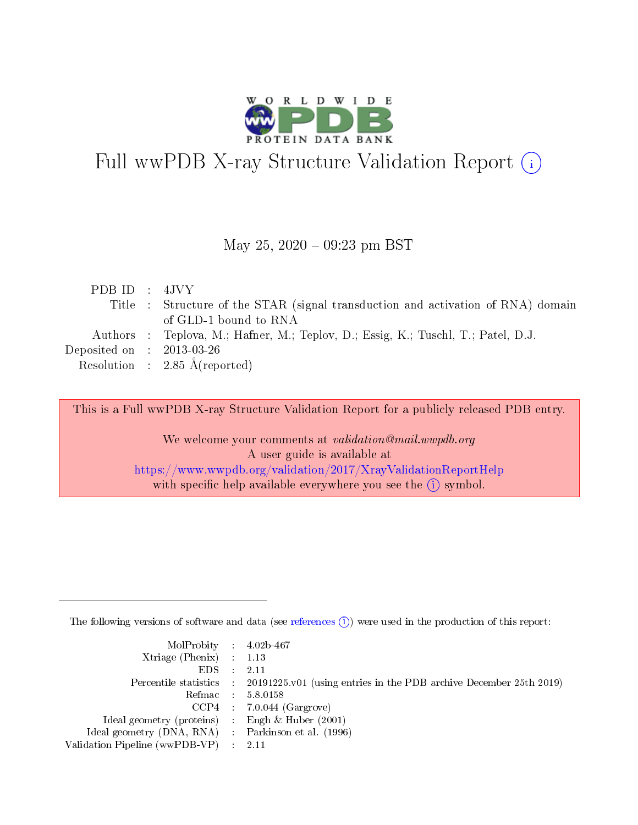

# Full wwPDB X-ray Structure Validation Report (i)

#### May 25,  $2020 - 09:23$  pm BST

| PDBID : 4JVY                         |                                                                                   |
|--------------------------------------|-----------------------------------------------------------------------------------|
|                                      | Title : Structure of the STAR (signal transduction and activation of RNA) domain  |
|                                      | of GLD-1 bound to RNA                                                             |
|                                      | Authors : Teplova, M.; Hafner, M.; Teplov, D.; Essig, K.; Tuschl, T.; Patel, D.J. |
| Deposited on $\therefore$ 2013-03-26 |                                                                                   |
|                                      | Resolution : $2.85 \text{ Å}$ (reported)                                          |

This is a Full wwPDB X-ray Structure Validation Report for a publicly released PDB entry.

We welcome your comments at validation@mail.wwpdb.org A user guide is available at <https://www.wwpdb.org/validation/2017/XrayValidationReportHelp> with specific help available everywhere you see the  $(i)$  symbol.

The following versions of software and data (see [references](https://www.wwpdb.org/validation/2017/XrayValidationReportHelp#references)  $(i)$ ) were used in the production of this report:

| MolProbity : 4.02b-467                              |                                                                                            |
|-----------------------------------------------------|--------------------------------------------------------------------------------------------|
| $Xtriangle (Phenix)$ : 1.13                         |                                                                                            |
| $EDS = 2.11$                                        |                                                                                            |
|                                                     | Percentile statistics : 20191225.v01 (using entries in the PDB archive December 25th 2019) |
|                                                     | Refmac : 5.8.0158                                                                          |
|                                                     | $CCP4$ : 7.0.044 (Gargrove)                                                                |
| Ideal geometry (proteins) : Engh $\&$ Huber (2001)  |                                                                                            |
| Ideal geometry (DNA, RNA) : Parkinson et al. (1996) |                                                                                            |
| Validation Pipeline (wwPDB-VP) : 2.11               |                                                                                            |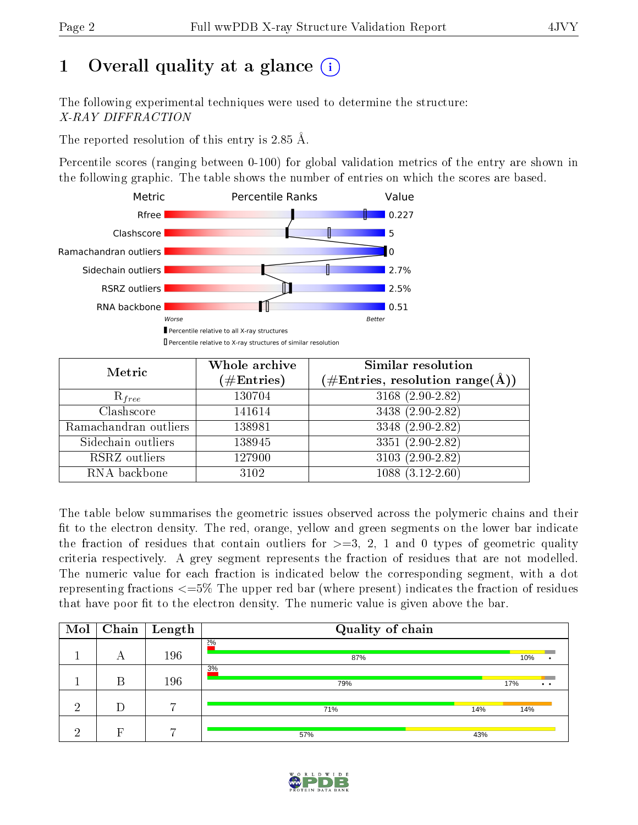# 1 [O](https://www.wwpdb.org/validation/2017/XrayValidationReportHelp#overall_quality)verall quality at a glance  $(i)$

The following experimental techniques were used to determine the structure: X-RAY DIFFRACTION

The reported resolution of this entry is 2.85 Å.

Percentile scores (ranging between 0-100) for global validation metrics of the entry are shown in the following graphic. The table shows the number of entries on which the scores are based.



Percentile relative to X-ray structures of similar resolution

| Metric                | Whole archive          | <b>Similar resolution</b>                                 |
|-----------------------|------------------------|-----------------------------------------------------------|
|                       | $(\#\mathrm{Entries})$ | $(\#\text{Entries}, \text{resolution range}(\text{\AA}))$ |
| $R_{free}$            | 130704                 | $3168(2.90-2.82)$                                         |
| Clashscore            | 141614                 | 3438 (2.90-2.82)                                          |
| Ramachandran outliers | 138981                 | 3348 (2.90-2.82)                                          |
| Sidechain outliers    | 138945                 | $3351 (2.90 - 2.82)$                                      |
| RSRZ outliers         | 127900                 | 3103 (2.90-2.82)                                          |
| RNA backbone          | 3102                   | $1088(3.12-2.60)$                                         |

The table below summarises the geometric issues observed across the polymeric chains and their fit to the electron density. The red, orange, yellow and green segments on the lower bar indicate the fraction of residues that contain outliers for  $>=3, 2, 1$  and 0 types of geometric quality criteria respectively. A grey segment represents the fraction of residues that are not modelled. The numeric value for each fraction is indicated below the corresponding segment, with a dot representing fractions  $\epsilon = 5\%$  The upper red bar (where present) indicates the fraction of residues that have poor fit to the electron density. The numeric value is given above the bar.

| Mol | Chain | $\vert$ Length | Quality of chain |     |                            |
|-----|-------|----------------|------------------|-----|----------------------------|
|     | А     | 196            | $2\%$<br>87%     |     | 10%                        |
|     | В     | 196            | 3%<br>79%        |     | 17%<br>$\bullet$ $\bullet$ |
| ച   | D     | $\overline{ }$ | 71%              | 14% | 14%                        |
| ച   | Е     | $\overline{ }$ | 57%              | 43% |                            |

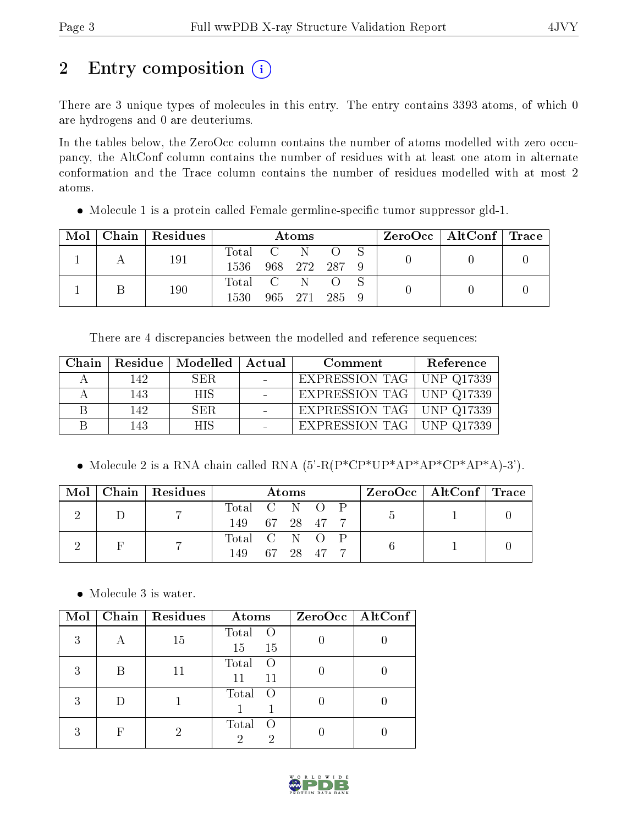# 2 Entry composition (i)

There are 3 unique types of molecules in this entry. The entry contains 3393 atoms, of which 0 are hydrogens and 0 are deuteriums.

In the tables below, the ZeroOcc column contains the number of atoms modelled with zero occupancy, the AltConf column contains the number of residues with at least one atom in alternate conformation and the Trace column contains the number of residues modelled with at most 2 atoms.

 $\bullet$  Molecule 1 is a protein called Female germline-specific tumor suppressor gld-1.

| Mol | $Chain$ Residues |           | <b>Atoms</b>  |  | $\text{ZeroOcc}$   AltConf   Trace |  |
|-----|------------------|-----------|---------------|--|------------------------------------|--|
|     | 191              | Total C   |               |  |                                    |  |
|     |                  | 1536      | 968 272 287 9 |  |                                    |  |
|     | 190              | Total C N |               |  |                                    |  |
|     |                  | 1530      | 965 271 285 9 |  |                                    |  |

There are 4 discrepancies between the modelled and reference sequences:

| Chain |      | Residue   Modelled   Actual | Comment                            | Reference |
|-------|------|-----------------------------|------------------------------------|-----------|
|       | 142  | SER.                        | EXPRESSION TAG   UNP Q17339        |           |
|       | 143  | <b>HIS</b>                  | EXPRESSION TAG   UNP Q17339        |           |
|       | 142. | SER.                        | <b>EXPRESSION TAG</b>   UNP Q17339 |           |
|       | 143  | HIS.                        | EXPRESSION TAG   UNP Q17339        |           |

• Molecule 2 is a RNA chain called RNA  $(5'-R(P^*CP^*UP^*AP^*AP^*CP^*AP^*A)^{-3})$ .

| Mol | Chain   Residues |                | Atoms |  | $ZeroOcc \mid AltConf \mid Trace$ |  |
|-----|------------------|----------------|-------|--|-----------------------------------|--|
|     |                  | Total C N O P  |       |  |                                   |  |
|     |                  | 149 67 28 47 7 |       |  |                                   |  |
|     |                  | Total C N O P  |       |  |                                   |  |
|     |                  | 149 67 28 47 7 |       |  |                                   |  |

• Molecule 3 is water.

| Mol |   | Chain   Residues | Atoms                                 | ZeroOcc   AltConf |
|-----|---|------------------|---------------------------------------|-------------------|
| 3   |   | 15               | Total<br>$\left( \right)$<br>15<br>15 |                   |
| 3   | B |                  | Total<br>$\left( \right)$<br>11<br>11 |                   |
| 3   |   |                  | Total<br>$\left( \right)$             |                   |
| 3   | F |                  | Total<br>$\left( \right)$             |                   |

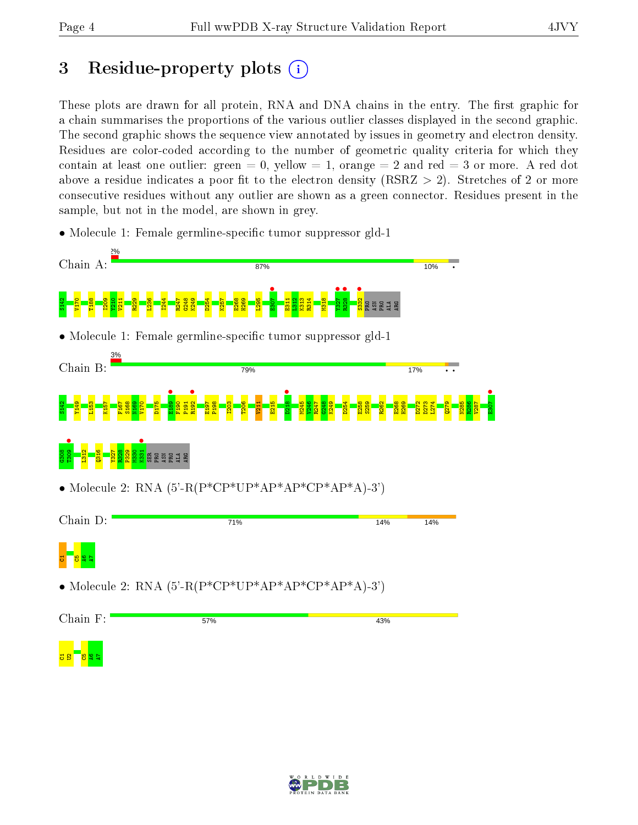## 3 Residue-property plots  $(i)$

These plots are drawn for all protein, RNA and DNA chains in the entry. The first graphic for a chain summarises the proportions of the various outlier classes displayed in the second graphic. The second graphic shows the sequence view annotated by issues in geometry and electron density. Residues are color-coded according to the number of geometric quality criteria for which they contain at least one outlier: green  $= 0$ , yellow  $= 1$ , orange  $= 2$  and red  $= 3$  or more. A red dot above a residue indicates a poor fit to the electron density (RSRZ  $> 2$ ). Stretches of 2 or more consecutive residues without any outlier are shown as a green connector. Residues present in the sample, but not in the model, are shown in grey.

• Molecule 1: Female germline-specific tumor suppressor gld-1



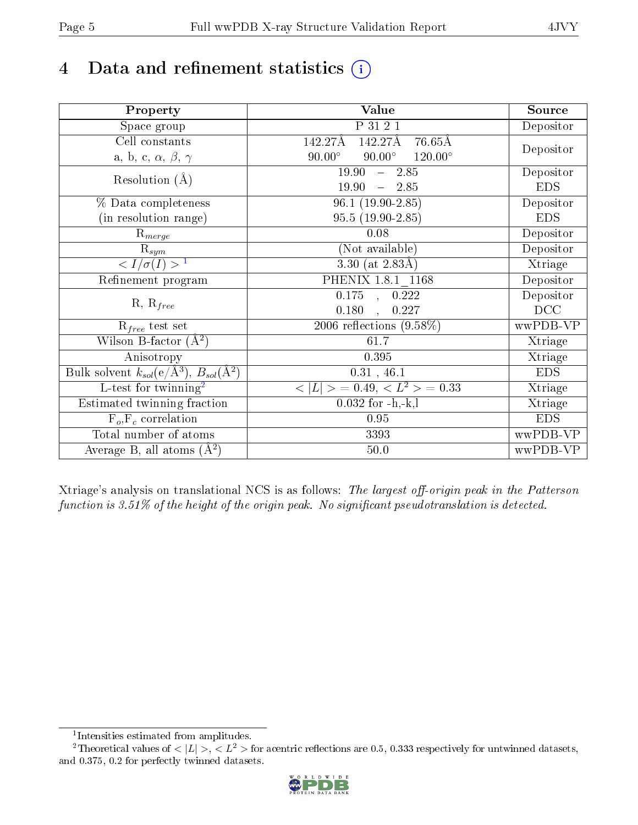# 4 Data and refinement statistics  $(i)$

| Property                                                             | <b>Value</b>                                       | Source     |
|----------------------------------------------------------------------|----------------------------------------------------|------------|
| Space group                                                          | P 31 2 1                                           | Depositor  |
| Cell constants                                                       | 142.27Å<br>142.27Å<br>$76.65\text{\AA}$            |            |
| a, b, c, $\alpha$ , $\beta$ , $\gamma$                               | $120.00^{\circ}$<br>$90.00^\circ$<br>$90.00^\circ$ | Depositor  |
| Resolution $(A)$                                                     | 19.90<br>$-2.85$                                   | Depositor  |
|                                                                      | 19.90<br>$-2.85$                                   | <b>EDS</b> |
| % Data completeness                                                  | $96.1(19.90-2.85)$                                 | Depositor  |
| (in resolution range)                                                | $95.5(19.90-2.85)$                                 | <b>EDS</b> |
| $R_{merge}$                                                          | 0.08                                               | Depositor  |
| $\mathrm{R}_{sym}$                                                   | (Not available)                                    | Depositor  |
| $\langle I/\sigma(I) \rangle^{-1}$                                   | 3.30 (at $2.83\text{\AA}$ )                        | Xtriage    |
| Refinement program                                                   | PHENIX 1.8.1 1168                                  | Depositor  |
|                                                                      | $\overline{0.175}$ ,<br>0.222                      | Depositor  |
| $R, R_{free}$                                                        | 0.180<br>0.227                                     | DCC        |
| $R_{free}$ test set                                                  | 2006 reflections $(9.58\%)$                        | wwPDB-VP   |
| Wilson B-factor $(A^2)$                                              | 61.7                                               | Xtriage    |
| Anisotropy                                                           | 0.395                                              | Xtriage    |
| Bulk solvent $k_{sol}(e/\mathring{A}^3)$ , $B_{sol}(\mathring{A}^2)$ | 0.31, 46.1                                         | <b>EDS</b> |
| L-test for twinning <sup>2</sup>                                     | $>$ = 0.49, < $L^2$ > = 0.33<br>< L                | Xtriage    |
| Estimated twinning fraction                                          | $0.032$ for $-h,-k,l$                              | Xtriage    |
| $F_o, F_c$ correlation                                               | 0.95                                               | <b>EDS</b> |
| Total number of atoms                                                | 3393                                               | wwPDB-VP   |
| Average B, all atoms $(A^2)$                                         | $50.0$                                             | wwPDB-VP   |

Xtriage's analysis on translational NCS is as follows: The largest off-origin peak in the Patterson function is  $3.51\%$  of the height of the origin peak. No significant pseudotranslation is detected.

<sup>&</sup>lt;sup>2</sup>Theoretical values of  $\langle |L| \rangle$ ,  $\langle L^2 \rangle$  for acentric reflections are 0.5, 0.333 respectively for untwinned datasets, and 0.375, 0.2 for perfectly twinned datasets.



<span id="page-4-1"></span><span id="page-4-0"></span><sup>1</sup> Intensities estimated from amplitudes.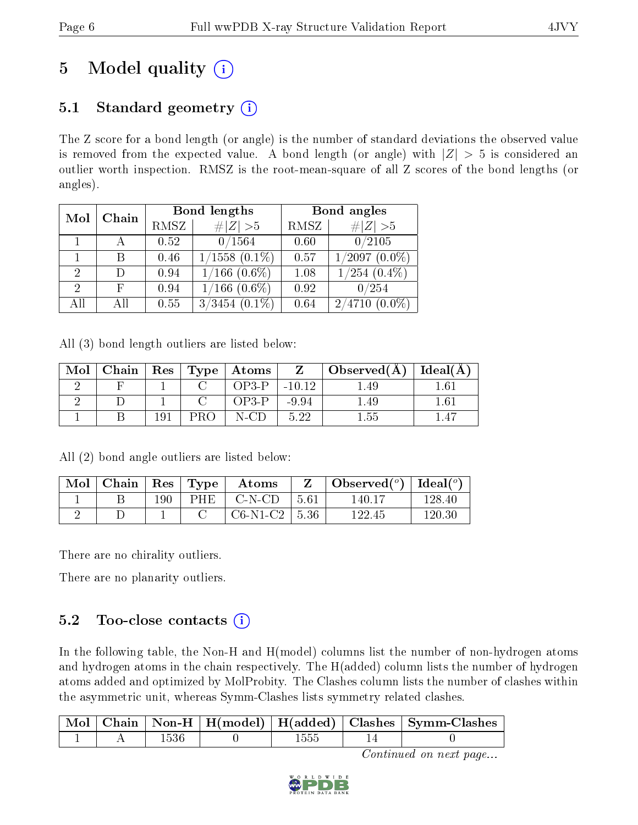# 5 Model quality  $(i)$

## 5.1 Standard geometry  $(i)$

The Z score for a bond length (or angle) is the number of standard deviations the observed value is removed from the expected value. A bond length (or angle) with  $|Z| > 5$  is considered an outlier worth inspection. RMSZ is the root-mean-square of all Z scores of the bond lengths (or angles).

| Mol | Chain |      | Bond lengths        | Bond angles |                     |  |
|-----|-------|------|---------------------|-------------|---------------------|--|
|     |       | RMSZ | # $ Z >5$           | RMSZ        | # $ Z >5$           |  |
|     |       | 0.52 | 0/1564              | 0.60        | 0/2105              |  |
|     |       | 0.46 | $1/1558$ $(0.1\%)$  | 0.57        | $1/2097(0.0\%)$     |  |
| 2   |       | 0.94 | $1/166$ $(0.6\%)$   | 1.08        | $1/254$ $(0.4\%)$   |  |
| 2   | F     | 0.94 | $1/166$ $(0.6\%)$   | 0.92        | 0/254               |  |
| AH  | АH    | 0.55 | 3/3454<br>$(0.1\%)$ | 0.64        | 2/4710<br>$(0.0\%)$ |  |

All (3) bond length outliers are listed below:

| Mol | Chain | $\operatorname{Res}$ | $\vert$ Type $\vert$ Atoms |          | $\Delta$ Observed(A) | Ideal(A) |
|-----|-------|----------------------|----------------------------|----------|----------------------|----------|
|     |       |                      | OP3-P                      | $-10.12$ | l.49                 | l.61     |
|     |       |                      | OP3-P                      | $-9.94$  | .49                  | $1.61\,$ |
|     |       | 191                  | N-CD.                      | 5.22     | 1.55                 |          |

All (2) bond angle outliers are listed below:

| Mol | Chain |     | $\vert$ Res $\vert$ Type $\vert$ | Atoms             |      | Observed( $^{\circ}$ )   Ideal( $^{\circ}$ ) |        |
|-----|-------|-----|----------------------------------|-------------------|------|----------------------------------------------|--------|
|     |       | 190 | PHE.                             | C-N-CD            | 5.61 | 140.17                                       | 128.40 |
|     |       |     |                                  | $C6-N1-C2$   5.36 |      | 122.45                                       | 120.30 |

There are no chirality outliers.

There are no planarity outliers.

### 5.2 Too-close contacts  $(i)$

In the following table, the Non-H and H(model) columns list the number of non-hydrogen atoms and hydrogen atoms in the chain respectively. The H(added) column lists the number of hydrogen atoms added and optimized by MolProbity. The Clashes column lists the number of clashes within the asymmetric unit, whereas Symm-Clashes lists symmetry related clashes.

|  |  |  | Mol   Chain   Non-H   H(model)   H(added)   Clashes   Symm-Clashes |
|--|--|--|--------------------------------------------------------------------|
|  |  |  |                                                                    |

Continued on next page...

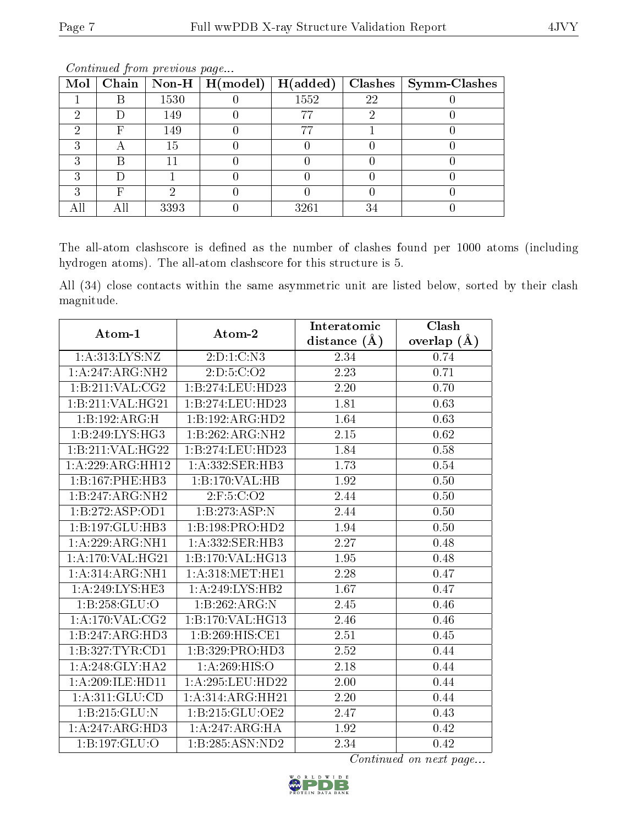|    |      | Mol   Chain   Non-H   H(model) | H(added) |    | Clashes   Symm-Clashes |
|----|------|--------------------------------|----------|----|------------------------|
|    | 1530 |                                | 1552     | 22 |                        |
|    | 149  |                                | 77       |    |                        |
| н, | 149  |                                | 77       |    |                        |
| ◠  | 15   |                                |          |    |                        |
|    |      |                                |          |    |                        |
|    |      |                                |          |    |                        |
|    |      |                                |          |    |                        |
|    | 3393 |                                | 3261     | 34 |                        |

Continued from previous page...

The all-atom clashscore is defined as the number of clashes found per 1000 atoms (including hydrogen atoms). The all-atom clashscore for this structure is 5.

All (34) close contacts within the same asymmetric unit are listed below, sorted by their clash magnitude.

| Atom-1             | $\boldsymbol{\mathrm{Atom}\text{-}2}$ | Interatomic       | Clash         |
|--------------------|---------------------------------------|-------------------|---------------|
|                    |                                       | distance $(\AA)$  | overlap $(A)$ |
| 1:A:313:LYS:NZ     | 2:D:1:C:N3                            | 2.34              | 0.74          |
| 1:A:247:ARG:NH2    | 2: D: 5: C: O2                        | 2.23              | 0.71          |
| 1:B:211:VAL:CG2    | 1:B:274:LEU:HD23                      | 2.20              | 0.70          |
| 1:B:211:VAL:HG21   | 1:B:274:LEU:HD23                      | 1.81              | 0.63          |
| 1:B:192:ARG:H      | 1:B:192:ARG:HD2                       | 1.64              | 0.63          |
| 1:B:249:LYS:HG3    | 1:B:262:ARG:NH2                       | 2.15              | 0.62          |
| 1:B:211:VAL:HG22   | 1:B:274:LEU:HD23                      | 1.84              | 0.58          |
| 1:A:229:ARG:HH12   | 1: A: 332: SER: HB3                   | 1.73              | $0.54\,$      |
| 1:B:167:PHE:HB3    | 1:B:170:VAL:HB                        | 1.92              | 0.50          |
| 1:B:247:ARG:NH2    | $2:$ F:5:C:O2                         | 2.44              | 0.50          |
| 1:B:272:ASP:OD1    | 1:B:273:ASP:N                         | 2.44              | 0.50          |
| 1:B:197:GLU:HB3    | 1:B:198:PRO:HD2                       | 1.94              | 0.50          |
| 1:A:229:ARG:NH1    | 1: A: 332: SER: HB3                   | 2.27              | 0.48          |
| 1: A:170: VAL:HG21 | 1:B:170:VAL:H <sub>G13</sub>          | 1.95              | 0.48          |
| 1:A:314:ARG:NH1    | 1: A:318: MET:HE1                     | 2.28              | 0.47          |
| 1:A:249:LYS:HE3    | 1:A:249:LYS:HB2                       | 1.67              | 0.47          |
| 1:B:258:GLU:O      | 1:B:262:ARG:N                         | 2.45              | 0.46          |
| 1:A:170:VAL:CG2    | 1:B:170:VAL:HG13                      | 2.46              | 0.46          |
| 1:B:247:ARG:HD3    | 1:B:269:HIS:CE1                       | 2.51              | 0.45          |
| 1:B:327:TYR:CD1    | 1:B:329:PRO:HD3                       | 2.52              | 0.44          |
| 1:A:248:GLY:HA2    | 1:A:269:HIS:O                         | $\overline{2.18}$ | 0.44          |
| 1:A:209:ILE:HD11   | 1:A:295:LEU:HD22                      | 2.00              | 0.44          |
| 1: A:311: GLU:CD   | 1:A:314:ARG:HH21                      | 2.20              | 0.44          |
| 1:B:215:GLU:N      | 1:B:215:GLU:OE2                       | 2.47              | 0.43          |
| 1:A:247:ARG:HD3    | 1:A:247:ARG:HA                        | 1.92              | 0.42          |
| 1:B:197:GLU:O      | 1:B:285:ASN:ND2                       | 2.34              | 0.42          |

Continued on next page...

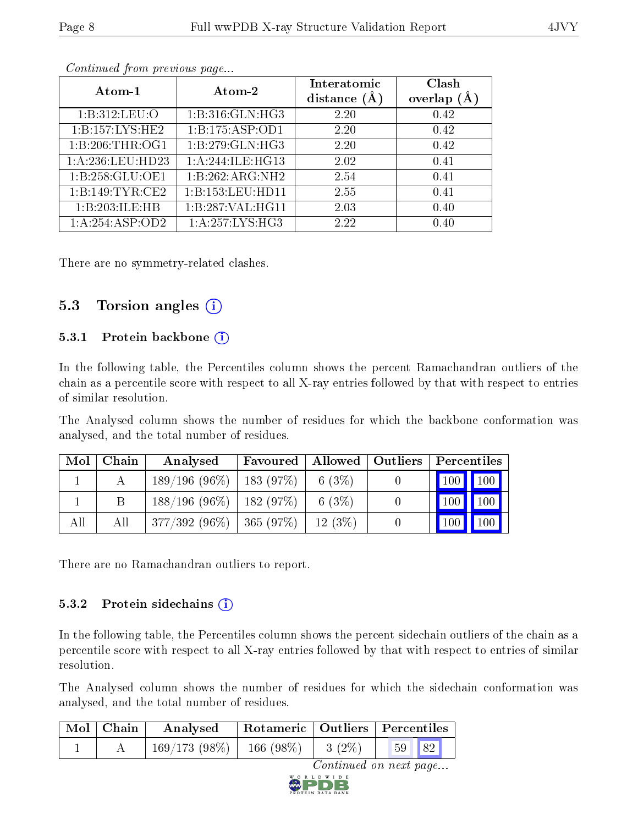| Atom-1            | Atom-2              | Interatomic<br>distance $(\AA)$ | Clash<br>overlap $(A)$ |  |  |  |
|-------------------|---------------------|---------------------------------|------------------------|--|--|--|
| 1: B: 312: LEU: O | 1: B: 316: GLN: HG3 | 2.20                            | 0.42                   |  |  |  |
| 1:B:157:LYS:HE2   | 1:B:175:ASP:OD1     | 2.20                            | 0.42                   |  |  |  |
| 1:B:206:THR:OG1   | 1:B:279:GLN:HG3     | 2.20                            | 0.42                   |  |  |  |
| 1: A:236:LEU:HD23 | 1:A:244:ILE:HG13    | 2.02                            | 0.41                   |  |  |  |
| 1:B:258:GLU:OE1   | 1:B:262:ARG:NH2     | 2.54                            | 0.41                   |  |  |  |
| 1:B:149:TYR:CE2   | 1:B:153:LEU:HDI1    | 2.55                            | 0.41                   |  |  |  |
| 1:B:203:ILE:HB    | 1:B:287:VAL:HG11    | 2.03                            | 0.40                   |  |  |  |
| 1:A:254:ASP:OD2   | 1:A:257:LYS:HG3     | 2.22                            | 0.40                   |  |  |  |

Continued from previous page...

There are no symmetry-related clashes.

### 5.3 Torsion angles  $(i)$

#### 5.3.1 Protein backbone (i)

In the following table, the Percentiles column shows the percent Ramachandran outliers of the chain as a percentile score with respect to all X-ray entries followed by that with respect to entries of similar resolution.

The Analysed column shows the number of residues for which the backbone conformation was analysed, and the total number of residues.

| Mol | Chain | Analysed                     | Favoured |          | Allowed   Outliers   Percentiles |  |
|-----|-------|------------------------------|----------|----------|----------------------------------|--|
|     |       | $189/196(96\%)$   183 (97\%) |          | 6(3%)    | $\boxed{100}$ $\boxed{100}$      |  |
|     |       | $188/196(96\%)$   182 (97\%) |          | 6 $(3%)$ | 100     100 <mark> </mark>       |  |
| All | All   | $377/392(96\%)$   365 (97\%) |          | 12(3%)   | $\mid$ 100 $\mid$ 100 $\mid$     |  |

There are no Ramachandran outliers to report.

#### 5.3.2 Protein sidechains (i)

In the following table, the Percentiles column shows the percent sidechain outliers of the chain as a percentile score with respect to all X-ray entries followed by that with respect to entries of similar resolution.

The Analysed column shows the number of residues for which the sidechain conformation was analysed, and the total number of residues.

|                        | Mol   Chain | Analysed                     | Rotameric   Outliers   Percentiles |          |  |
|------------------------|-------------|------------------------------|------------------------------------|----------|--|
|                        |             | $169/173(98\%)$   166 (98\%) |                                    | $3(2\%)$ |  |
| Continued on next page |             |                              |                                    |          |  |

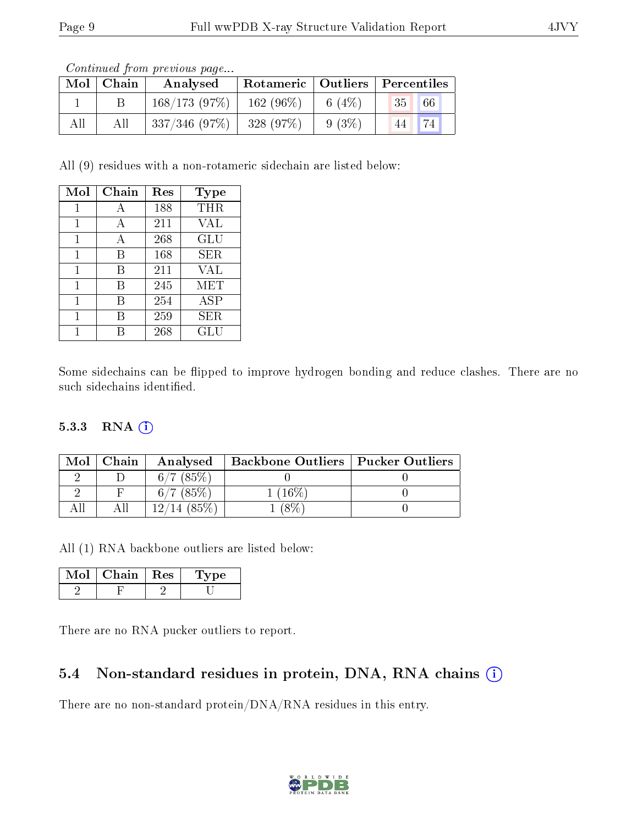|     | contentable provided page |              |             |          |                                    |  |  |  |
|-----|---------------------------|--------------|-------------|----------|------------------------------------|--|--|--|
|     | $Mol$   Chain             | Analysed     |             |          | Rotameric   Outliers   Percentiles |  |  |  |
|     |                           | 168/173(97%) | $162(96\%)$ | 6 (4\%)  | 35 <sup>1</sup><br>$\sqrt{66}$     |  |  |  |
| All | All                       | 337/346(97%) | 328(97%)    | $9(3\%)$ | 44                                 |  |  |  |

Continued from previous page...

All (9) residues with a non-rotameric sidechain are listed below:

| Mol | Chain | Res | Type       |
|-----|-------|-----|------------|
|     | А     | 188 | THR        |
| 1   | A     | 211 | VAL        |
| 1   | А     | 268 | <b>GLU</b> |
| 1   | B     | 168 | SER        |
| 1   | В     | 211 | VAL        |
| 1   | В     | 245 | MET        |
|     | B     | 254 | ASP        |
| 1   | B     | 259 | SER        |
|     |       | 268 | GLU        |

Some sidechains can be flipped to improve hydrogen bonding and reduce clashes. There are no such sidechains identified.

#### 5.3.3 RNA (1)

| Mol | Chain | Analysed     | <b>Backbone Outliers   Pucker Outliers</b> |  |
|-----|-------|--------------|--------------------------------------------|--|
|     |       | $6/7$ (85\%) |                                            |  |
|     |       | 6/7(85%)     | $16\%$                                     |  |
|     |       |              |                                            |  |

All (1) RNA backbone outliers are listed below:

| Chain   Res | rype |
|-------------|------|
|             |      |

There are no RNA pucker outliers to report.

#### 5.4 Non-standard residues in protein, DNA, RNA chains (i)

There are no non-standard protein/DNA/RNA residues in this entry.

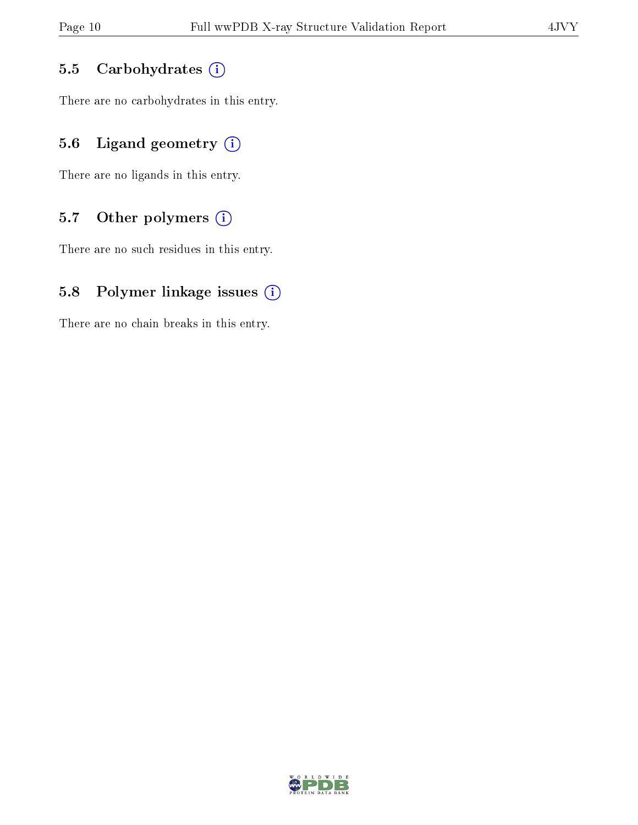#### 5.5 Carbohydrates (i)

There are no carbohydrates in this entry.

### 5.6 Ligand geometry  $(i)$

There are no ligands in this entry.

### 5.7 [O](https://www.wwpdb.org/validation/2017/XrayValidationReportHelp#nonstandard_residues_and_ligands)ther polymers  $(i)$

There are no such residues in this entry.

#### 5.8 Polymer linkage issues  $(i)$

There are no chain breaks in this entry.

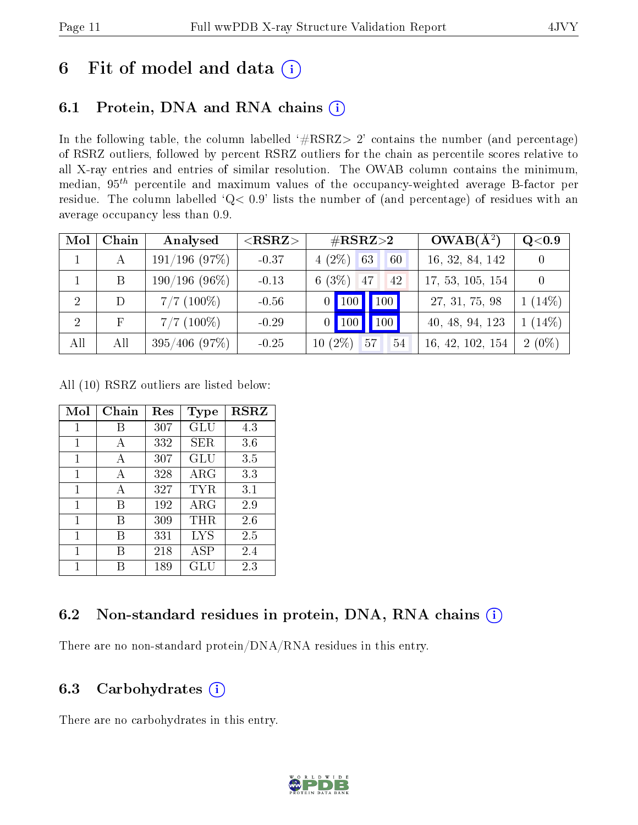## 6 Fit of model and data  $(i)$

## 6.1 Protein, DNA and RNA chains  $(i)$

In the following table, the column labelled  $#RSRZ> 2'$  contains the number (and percentage) of RSRZ outliers, followed by percent RSRZ outliers for the chain as percentile scores relative to all X-ray entries and entries of similar resolution. The OWAB column contains the minimum, median,  $95<sup>th</sup>$  percentile and maximum values of the occupancy-weighted average B-factor per residue. The column labelled ' $Q< 0.9$ ' lists the number of (and percentage) of residues with an average occupancy less than 0.9.

| Mol            | Chain      | Analysed        | $<$ RSRZ $>$ | $\#\text{RSRZ}{>}2$                | $OWAB(A^2)$      | Q< 0.9    |
|----------------|------------|-----------------|--------------|------------------------------------|------------------|-----------|
|                | А          | 191/196(97%)    | $-0.37$      | $4(2\%)$ 63<br>60                  | 16, 32, 84, 142  |           |
|                | B          | $190/196(96\%)$ | $-0.13$      | $6(3\%)$ 47<br>42                  | 17, 53, 105, 154 |           |
| -2             | D          | $7/7$ (100\%)   | $-0.56$      | 100<br>$0$   100                   | 27, 31, 75, 98   | $1(14\%)$ |
| $\overline{2}$ | $_{\rm F}$ | $7/7$ (100\%)   | $-0.29$      | 100<br>$\vert$ 100<br>$\mathbf{0}$ | 40, 48, 94, 123  | $1(14\%)$ |
| All            | All        | $395/406$ (97%) | $-0.25$      | $10(2\%)$<br>57<br>54              | 16, 42, 102, 154 | $2(0\%)$  |

All (10) RSRZ outliers are listed below:

| Mol | Chain | Res | Type        | <b>RSRZ</b> |
|-----|-------|-----|-------------|-------------|
| 1   | R     | 307 | GLU         | 4.3         |
| 1   | A     | 332 | <b>SER</b>  | 3.6         |
| 1   | А     | 307 | GLU         | 3.5         |
| 1   | А     | 328 | ${\rm ARG}$ | 3.3         |
| 1   | A     | 327 | TYR         | 3.1         |
| 1   | R     | 192 | ${\rm ARG}$ | 2.9         |
| 1   | В     | 309 | THR         | 2.6         |
| 1   | В     | 331 | LYS         | 2.5         |
| 1   | В     | 218 | ASP         | 2.4         |
| 1   |       | 189 | GLU         | 2.3         |

### 6.2 Non-standard residues in protein, DNA, RNA chains  $(i)$

There are no non-standard protein/DNA/RNA residues in this entry.

### 6.3 Carbohydrates  $(i)$

There are no carbohydrates in this entry.